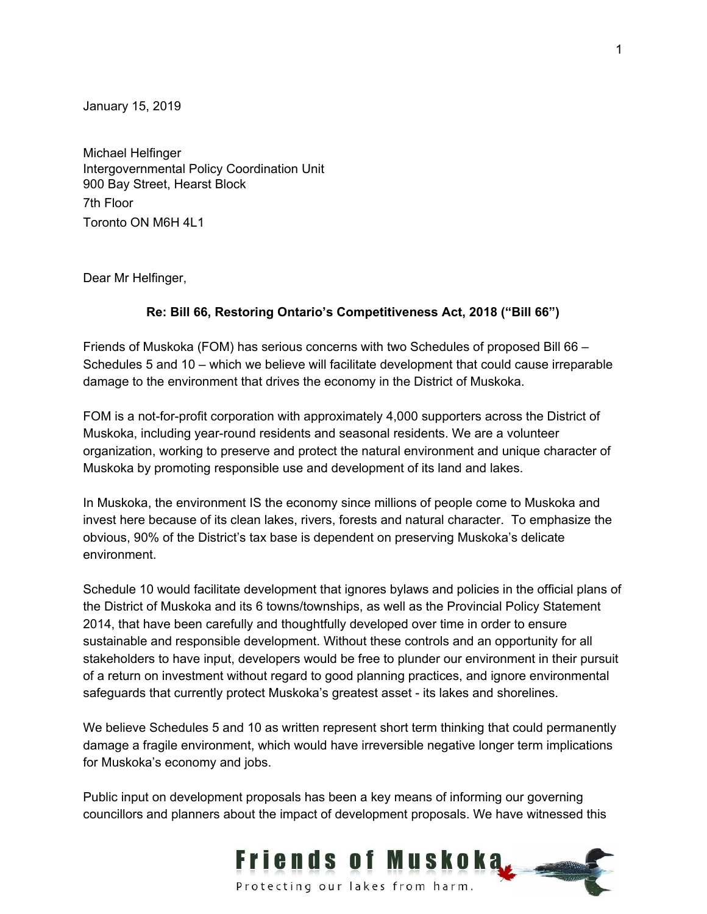January 15, 2019

Michael Helfinger Intergovernmental Policy Coordination Unit 900 Bay Street, Hearst Block 7th Floor Toronto ON M6H 4L1

Dear Mr Helfinger,

## **Re: Bill 66, Restoring Ontario's Competitiveness Act, 2018 ("Bill 66")**

Friends of Muskoka (FOM) has serious concerns with two Schedules of proposed Bill 66 – Schedules 5 and 10 – which we believe will facilitate development that could cause irreparable damage to the environment that drives the economy in the District of Muskoka.

FOM is a not-for-profit corporation with approximately 4,000 supporters across the District of Muskoka, including year-round residents and seasonal residents. We are a volunteer organization, working to preserve and protect the natural environment and unique character of Muskoka by promoting responsible use and development of its land and lakes.

In Muskoka, the environment IS the economy since millions of people come to Muskoka and invest here because of its clean lakes, rivers, forests and natural character. To emphasize the obvious, 90% of the District's tax base is dependent on preserving Muskoka's delicate environment.

Schedule 10 would facilitate development that ignores bylaws and policies in the official plans of the District of Muskoka and its 6 towns/townships, as well as the Provincial Policy Statement 2014, that have been carefully and thoughtfully developed over time in order to ensure sustainable and responsible development. Without these controls and an opportunity for all stakeholders to have input, developers would be free to plunder our environment in their pursuit of a return on investment without regard to good planning practices, and ignore environmental safeguards that currently protect Muskoka's greatest asset - its lakes and shorelines.

We believe Schedules 5 and 10 as written represent short term thinking that could permanently damage a fragile environment, which would have irreversible negative longer term implications for Muskoka's economy and jobs.

Public input on development proposals has been a key means of informing our governing councillors and planners about the impact of development proposals. We have witnessed this

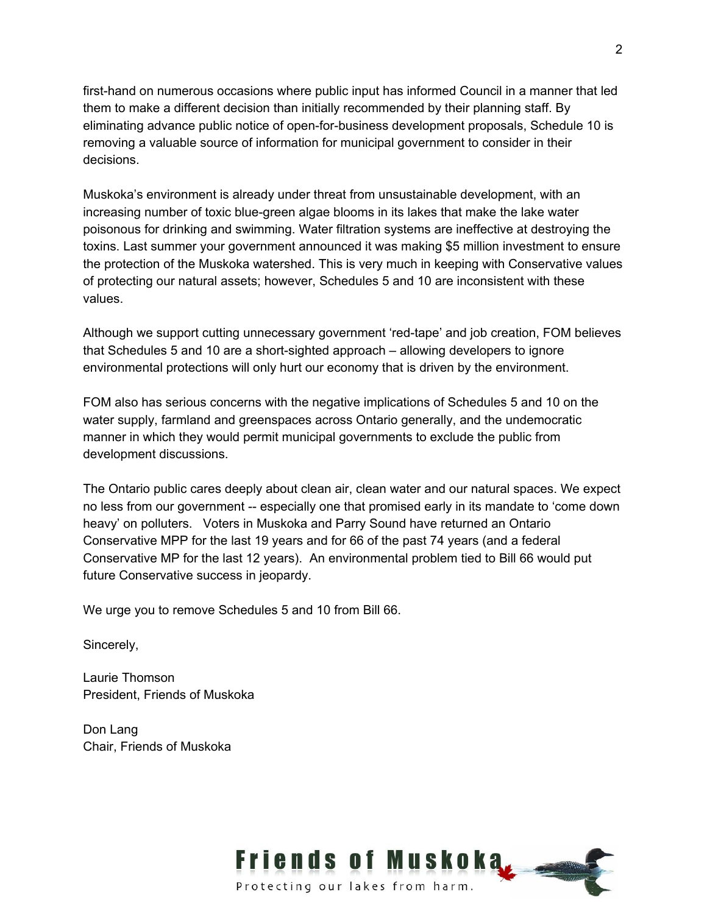first-hand on numerous occasions where public input has informed Council in a manner that led them to make a different decision than initially recommended by their planning staff. By eliminating advance public notice of open-for-business development proposals, Schedule 10 is removing a valuable source of information for municipal government to consider in their decisions.

Muskoka's environment is already under threat from unsustainable development, with an increasing number of toxic blue-green algae blooms in its lakes that make the lake water poisonous for drinking and swimming. Water filtration systems are ineffective at destroying the toxins. Last summer your government announced it was making \$5 million investment to ensure the protection of the Muskoka watershed. This is very much in keeping with Conservative values of protecting our natural assets; however, Schedules 5 and 10 are inconsistent with these values.

Although we support cutting unnecessary government 'red-tape' and job creation, FOM believes that Schedules 5 and 10 are a short-sighted approach – allowing developers to ignore environmental protections will only hurt our economy that is driven by the environment.

FOM also has serious concerns with the negative implications of Schedules 5 and 10 on the water supply, farmland and greenspaces across Ontario generally, and the undemocratic manner in which they would permit municipal governments to exclude the public from development discussions.

The Ontario public cares deeply about clean air, clean water and our natural spaces. We expect no less from our government -- especially one that promised early in its mandate to 'come down heavy' on polluters. Voters in Muskoka and Parry Sound have returned an Ontario Conservative MPP for the last 19 years and for 66 of the past 74 years (and a federal Conservative MP for the last 12 years). An environmental problem tied to Bill 66 would put future Conservative success in jeopardy.

We urge you to remove Schedules 5 and 10 from Bill 66.

Sincerely,

Laurie Thomson President, Friends of Muskoka

Don Lang Chair, Friends of Muskoka